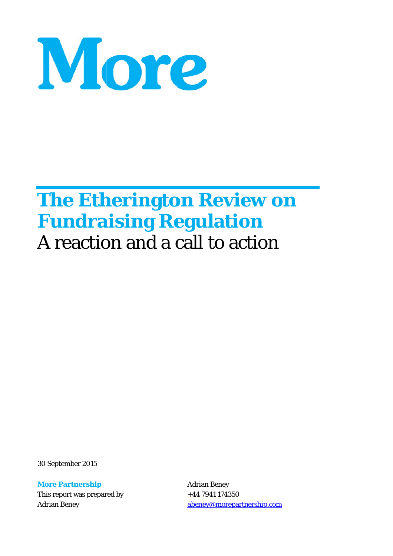

# **The Etherington Review on Fundraising Regulation** A reaction and a call to action

30 Septemb ber 2015

**More Partnership** This report was prepared by Adrian Ben ney

Adrian B Beney +44 794 1 174350 <u>abeney@morepartnership.com</u>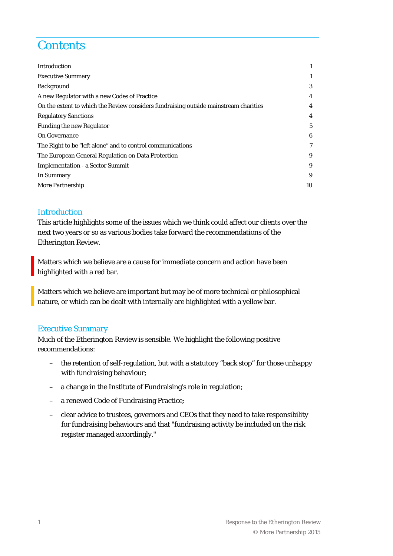# **Contents**

| Introduction                                                                         | 1  |
|--------------------------------------------------------------------------------------|----|
| <b>Executive Summary</b>                                                             | 1  |
| <b>Background</b>                                                                    | 3  |
| A new Regulator with a new Codes of Practice                                         | 4  |
| On the extent to which the Review considers fundraising outside mainstream charities | 4  |
| <b>Regulatory Sanctions</b>                                                          | 4  |
| <b>Funding the new Regulator</b>                                                     | 5  |
| <b>On Governance</b>                                                                 | 6  |
| The Right to be "left alone" and to control communications                           | 7  |
| The European General Regulation on Data Protection                                   | 9  |
| <b>Implementation - a Sector Summit</b>                                              | 9  |
| In Summary                                                                           | 9  |
| <b>More Partnership</b>                                                              | 10 |

#### Introduction

This article highlights some of the issues which we think could affect our clients over the next two years or so as various bodies take forward the recommendations of the Etherington Review.

Matters which we believe are a cause for immediate concern and action have been highlighted with a red bar.

Matters which we believe are important but may be of more technical or philosophical nature, or which can be dealt with internally are highlighted with a yellow bar.

#### Executive Summary

Much of the Etherington Review is sensible. We highlight the following positive recommendations:

- the retention of self-regulation, but with a statutory "back stop" for those unhappy with fundraising behaviour;
- a change in the Institute of Fundraising's role in regulation;
- a renewed Code of Fundraising Practice;
- clear advice to trustees, governors and CEOs that they need to take responsibility for fundraising behaviours and that "fundraising activity be included on the risk register managed accordingly."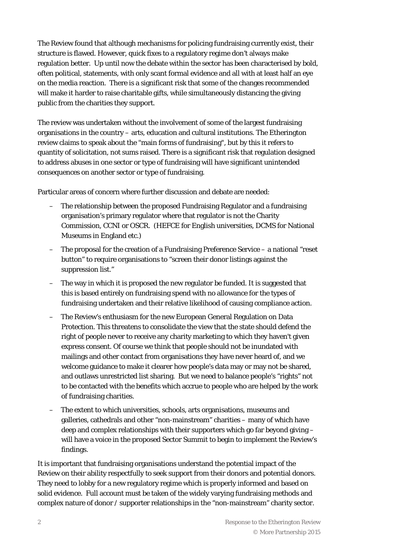The Review found that although mechanisms for policing fundraising currently exist, their structure is flawed. However, quick fixes to a regulatory regime don't always make regulation better. Up until now the debate within the sector has been characterised by bold, often political, statements, with only scant formal evidence and all with at least half an eye on the media reaction. There is a significant risk that some of the changes recommended will make it harder to raise charitable gifts, while simultaneously distancing the giving public from the charities they support.

The review was undertaken without the involvement of some of the largest fundraising organisations in the country – arts, education and cultural institutions. The Etherington review claims to speak about the "main forms of fundraising", but by this it refers to quantity of solicitation, not sums raised. There is a significant risk that regulation designed to address abuses in one sector or type of fundraising will have significant unintended consequences on another sector or type of fundraising.

Particular areas of concern where further discussion and debate are needed:

- The relationship between the proposed Fundraising Regulator and a fundraising organisation's primary regulator where that regulator is not the Charity Commission, CCNI or OSCR. (HEFCE for English universities, DCMS for National Museums in England etc.)
- The proposal for the creation of a Fundraising Preference Service a national "reset button" to require organisations to "screen their donor listings against the suppression list."
- The way in which it is proposed the new regulator be funded. It is suggested that this is based entirely on fundraising spend with no allowance for the types of fundraising undertaken and their relative likelihood of causing compliance action.
- The Review's enthusiasm for the new European General Regulation on Data Protection. This threatens to consolidate the view that the state should defend the right of people never to receive any charity marketing to which they haven't given express consent. Of course we think that people should not be inundated with mailings and other contact from organisations they have never heard of, and we welcome guidance to make it clearer how people's data may or may not be shared, and outlaws unrestricted list sharing. But we need to balance people's "rights" not to be contacted with the benefits which accrue to people who are helped by the work of fundraising charities.
- The extent to which universities, schools, arts organisations, museums and galleries, cathedrals and other "non-mainstream" charities – many of which have deep and complex relationships with their supporters which go far beyond giving – will have a voice in the proposed Sector Summit to begin to implement the Review's findings.

It is important that fundraising organisations understand the potential impact of the Review on their ability respectfully to seek support from their donors and potential donors. They need to lobby for a new regulatory regime which is properly informed and based on solid evidence. Full account must be taken of the widely varying fundraising methods and complex nature of donor / supporter relationships in the "non-mainstream" charity sector.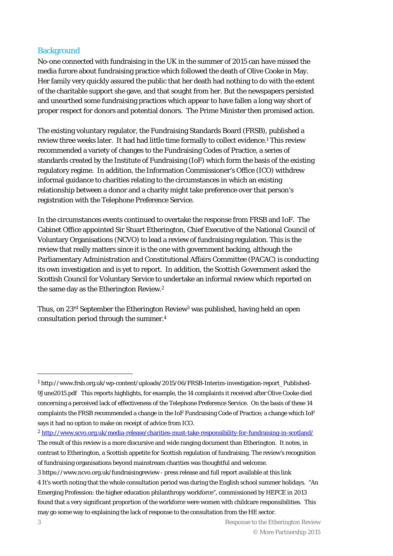#### **Background**

No-one connected with fundraising in the UK in the summer of 2015 can have missed the media furore about fundraising practice which followed the death of Olive Cooke in May. Her family very quickly assured the public that her death had nothing to do with the extent of the charitable support she gave, and that sought from her. But the newspapers persisted and unearthed some fundraising practices which appear to have fallen a long way short of proper respect for donors and potential donors. The Prime Minister then promised action.

The existing voluntary regulator, the Fundraising Standards Board (FRSB), published a review three weeks later. It had had little time formally to collect evidence.<sup>1</sup> This review recommended a variety of changes to the Fundraising Codes of Practice, a series of standards created by the Institute of Fundraising (IoF) which form the basis of the existing regulatory regime. In addition, the Information Commissioner's Office (ICO) withdrew informal guidance to charities relating to the circumstances in which an existing relationship between a donor and a charity might take preference over that person's registration with the Telephone Preference Service.

In the circumstances events continued to overtake the response from FRSB and IoF. The Cabinet Office appointed Sir Stuart Etherington, Chief Executive of the National Council of Voluntary Organisations (NCVO) to lead a review of fundraising regulation. This is the review that really matters since it is the one with government backing, although the Parliamentary Administration and Constitutional Affairs Committee (PACAC) is conducting its own investigation and is yet to report. In addition, the Scottish Government asked the Scottish Council for Voluntary Service to undertake an informal review which reported on the same day as the Etherington Review.2

Thus, on  $23<sup>rd</sup>$  September the Etherington Review<sup>3</sup> was published, having held an open consultation period through the summer.4

<sup>2</sup> http://www.scvo.org.uk/media-release/charities-must-take-responsibility-for-fundraising-in-scotland/

<sup>1</sup> http://www.frsb.org.uk/wp-content/uploads/2015/06/FRSB-Interim-investigation-report\_Published-9June2015.pdf This reports highlights, for example, the 14 complaints it received after Olive Cooke died concerning a perceived lack of effectiveness of the Telephone Preference Service. On the basis of these 14 complaints the FRSB recommended a change in the IoF Fundraising Code of Practice; a change which IoF says it had no option to make on receipt of advice from ICO.

The result of this review is a more discursive and wide ranging document than Etherington. It notes, in contrast to Etherington, a Scottish appetite for Scottish regulation of fundraising. The review's recognition of fundraising organisations beyond mainstream charities was thoughtful and welcome.

<sup>3</sup> https://www.ncvo.org.uk/fundraisingreview - press release and full report available at this link 4 It's worth noting that the whole consultation period was during the English school summer holidays. "An Emerging Profession: the higher education philanthropy workforce", commissioned by HEFCE in 2013 found that a very significant proportion of the workforce were women with childcare responsibilities. This may go some way to explaining the lack of response to the consultation from the HE sector.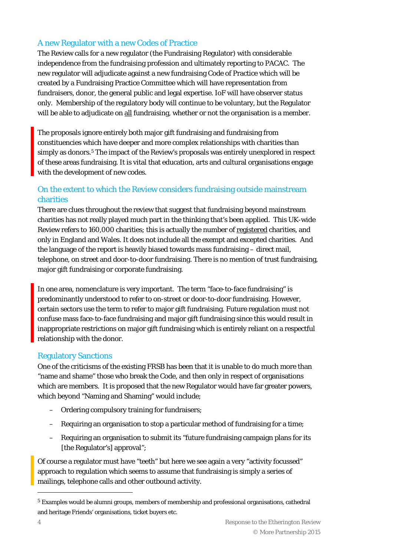# A new Regulator with a new Codes of Practice

The Review calls for a new regulator (the Fundraising Regulator) with considerable independence from the fundraising profession and ultimately reporting to PACAC. The new regulator will adjudicate against a new fundraising Code of Practice which will be created by a Fundraising Practice Committee which will have representation from fundraisers, donor, the general public and legal expertise. IoF will have observer status only. Membership of the regulatory body will continue to be voluntary, but the Regulator will be able to adjudicate on all fundraising, whether or not the organisation is a member.

The proposals ignore entirely both major gift fundraising and fundraising from constituencies which have deeper and more complex relationships with charities than simply as donors.<sup>5</sup> The impact of the Review's proposals was entirely unexplored in respect of these areas fundraising. It is vital that education, arts and cultural organisations engage with the development of new codes.

# On the extent to which the Review considers fundraising outside mainstream charities

There are clues throughout the review that suggest that fundraising beyond mainstream charities has not really played much part in the thinking that's been applied. This UK-wide Review refers to 160,000 charities; this is actually the number of registered charities, and only in England and Wales. It does not include all the exempt and excepted charities. And the language of the report is heavily biased towards mass fundraising – direct mail, telephone, on street and door-to-door fundraising. There is no mention of trust fundraising, major gift fundraising or corporate fundraising.

In one area, nomenclature is very important. The term "face-to-face fundraising" is predominantly understood to refer to on-street or door-to-door fundraising. However, certain sectors use the term to refer to major gift fundraising. Future regulation must not confuse mass face-to-face fundraising and major gift fundraising since this would result in inappropriate restrictions on major gift fundraising which is entirely reliant on a respectful relationship with the donor.

## Regulatory Sanctions

One of the criticisms of the existing FRSB has been that it is unable to do much more than "name and shame" those who break the Code, and then only in respect of organisations which are members. It is proposed that the new Regulator would have far greater powers, which beyond "Naming and Shaming" would include;

- Ordering compulsory training for fundraisers;
- Requiring an organisation to stop a particular method of fundraising for a time;
- Requiring an organisation to submit its "future fundraising campaign plans for its [the Regulator's] approval";

Of course a regulator must have "teeth" but here we see again a very "activity focussed" approach to regulation which seems to assume that fundraising is simply a series of mailings, telephone calls and other outbound activity.

<sup>5</sup> Examples would be alumni groups, members of membership and professional organisations, cathedral and heritage Friends' organisations, ticket buyers etc.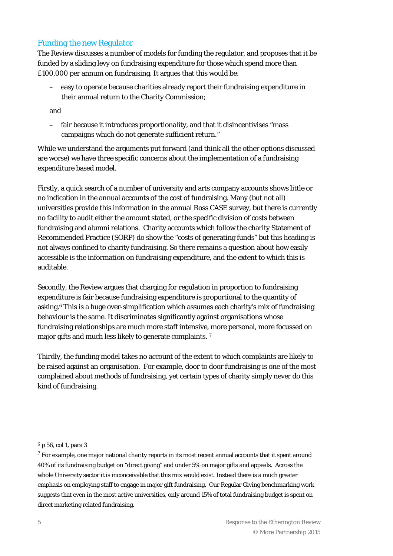#### Funding the new Regulator

The Review discusses a number of models for funding the regulator, and proposes that it be funded by a sliding levy on fundraising expenditure for those which spend more than £100,000 per annum on fundraising. It argues that this would be:

– easy to operate because charities already report their fundraising expenditure in their annual return to the Charity Commission;

and

– fair because it introduces proportionality, and that it disincentivises "mass campaigns which do not generate sufficient return."

While we understand the arguments put forward (and think all the other options discussed are worse) we have three specific concerns about the implementation of a fundraising expenditure based model.

Firstly, a quick search of a number of university and arts company accounts shows little or no indication in the annual accounts of the cost of fundraising. Many (but not all) universities provide this information in the annual Ross CASE survey, but there is currently no facility to audit either the amount stated, or the specific division of costs between fundraising and alumni relations. Charity accounts which follow the charity Statement of Recommended Practice (SORP) do show the "costs of generating funds" but this heading is not always confined to charity fundraising. So there remains a question about how easily accessible is the information on fundraising expenditure, and the extent to which this is auditable.

Secondly, the Review argues that charging for regulation in proportion to fundraising expenditure is fair because fundraising expenditure is proportional to the quantity of asking.6 This is a huge over-simplification which assumes each charity's mix of fundraising behaviour is the same. It discriminates significantly against organisations whose fundraising relationships are much more staff intensive, more personal, more focussed on major gifts and much less likely to generate complaints.<sup>7</sup>

Thirdly, the funding model takes no account of the extent to which complaints are likely to be raised against an organisation. For example, door to door fundraising is one of the most complained about methods of fundraising, yet certain types of charity simply never do this kind of fundraising.

<sup>6</sup> p 56, col 1, para 3

<sup>&</sup>lt;sup>7</sup> For example, one major national charity reports in its most recent annual accounts that it spent around 40% of its fundraising budget on "direct giving" and under 5% on major gifts and appeals. Across the whole University sector it is inconceivable that this mix would exist. Instead there is a much greater emphasis on employing staff to engage in major gift fundraising. Our Regular Giving benchmarking work suggests that even in the most active universities, only around 15% of total fundraising budget is spent on direct marketing related fundraising.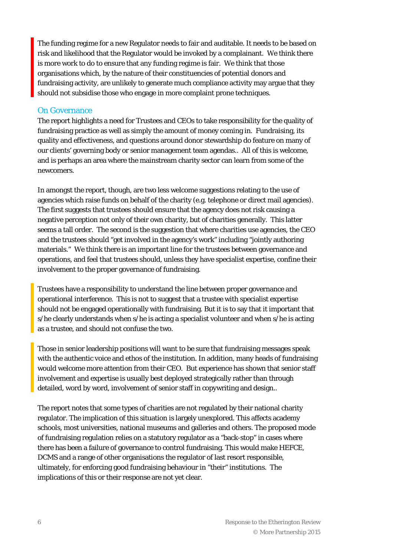The funding regime for a new Regulator needs to fair and auditable. It needs to be based on risk and likelihood that the Regulator would be invoked by a complainant. We think there is more work to do to ensure that any funding regime is fair. We think that those organisations which, by the nature of their constituencies of potential donors and fundraising activity, are unlikely to generate much compliance activity may argue that they should not subsidise those who engage in more complaint prone techniques.

#### On Governance

The report highlights a need for Trustees and CEOs to take responsibility for the quality of fundraising practice as well as simply the amount of money coming in. Fundraising, its quality and effectiveness, and questions around donor stewardship do feature on many of our clients' governing body or senior management team agendas.. All of this is welcome, and is perhaps an area where the mainstream charity sector can learn from some of the newcomers.

In amongst the report, though, are two less welcome suggestions relating to the use of agencies which raise funds on behalf of the charity (e.g. telephone or direct mail agencies). The first suggests that trustees should ensure that the agency does not risk causing a negative perception not only of their own charity, but of charities generally. This latter seems a tall order. The second is the suggestion that where charities use agencies, the CEO and the trustees should "get involved in the agency's work" including "jointly authoring materials." We think there is an important line for the trustees between governance and operations, and feel that trustees should, unless they have specialist expertise, confine their involvement to the proper governance of fundraising.

Trustees have a responsibility to understand the line between proper governance and operational interference. This is not to suggest that a trustee with specialist expertise should not be engaged operationally with fundraising. But it is to say that it important that s/he clearly understands when s/he is acting a specialist volunteer and when s/he is acting as a trustee, and should not confuse the two.

Those in senior leadership positions will want to be sure that fundraising messages speak with the authentic voice and ethos of the institution. In addition, many heads of fundraising would welcome more attention from their CEO. But experience has shown that senior staff involvement and expertise is usually best deployed strategically rather than through detailed, word by word, involvement of senior staff in copywriting and design..

The report notes that some types of charities are not regulated by their national charity regulator. The implication of this situation is largely unexplored. This affects academy schools, most universities, national museums and galleries and others. The proposed mode of fundraising regulation relies on a statutory regulator as a "back-stop" in cases where there has been a failure of governance to control fundraising. This would make HEFCE, DCMS and a range of other organisations the regulator of last resort responsible, ultimately, for enforcing good fundraising behaviour in "their" institutions. The implications of this or their response are not yet clear.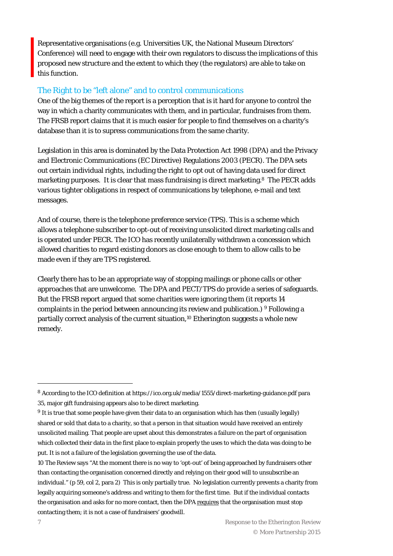Representative organisations (e.g. Universities UK, the National Museum Directors' Conference) will need to engage with their own regulators to discuss the implications of this proposed new structure and the extent to which they (the regulators) are able to take on this function.

#### The Right to be "left alone" and to control communications

One of the big themes of the report is a perception that is it hard for anyone to control the way in which a charity communicates with them, and in particular, fundraises from them. The FRSB report claims that it is much easier for people to find themselves on a charity's database than it is to supress communications from the same charity.

Legislation in this area is dominated by the Data Protection Act 1998 (DPA) and the Privacy and Electronic Communications (EC Directive) Regulations 2003 (PECR). The DPA sets out certain individual rights, including the right to opt out of having data used for direct marketing purposes. It is clear that mass fundraising is direct marketing.8 The PECR adds various tighter obligations in respect of communications by telephone, e-mail and text messages.

And of course, there is the telephone preference service (TPS). This is a scheme which allows a telephone subscriber to opt-out of receiving unsolicited direct marketing calls and is operated under PECR. The ICO has recently unilaterally withdrawn a concession which allowed charities to regard existing donors as close enough to them to allow calls to be made even if they are TPS registered.

Clearly there has to be an appropriate way of stopping mailings or phone calls or other approaches that are unwelcome. The DPA and PECT/TPS do provide a series of safeguards. But the FRSB report argued that some charities were ignoring them (it reports 14 complaints in the period between announcing its review and publication.)  $9$  Following a partially correct analysis of the current situation,<sup>10</sup> Etherington suggests a whole new remedy.

<sup>8</sup> According to the ICO definition at https://ico.org.uk/media/1555/direct-marketing-guidance.pdf para 35, major gift fundraising appears also to be direct marketing.

<sup>9</sup> It is true that some people have given their data to an organisation which has then (usually legally) shared or sold that data to a charity, so that a person in that situation would have received an entirely unsolicited mailing. That people are upset about this demonstrates a failure on the part of organisation which collected their data in the first place to explain properly the uses to which the data was doing to be put. It is not a failure of the legislation governing the use of the data.

<sup>10</sup> The Review says "At the moment there is no way to 'opt-out' of being approached by fundraisers other than contacting the organisation concerned directly and relying on their good will to unsubscribe an individual." (p 59, col 2, para 2) This is only partially true. No legislation currently prevents a charity from legally acquiring someone's address and writing to them for the first time. But if the individual contacts the organisation and asks for no more contact, then the DPA requires that the organisation must stop contacting them; it is not a case of fundraisers' goodwill.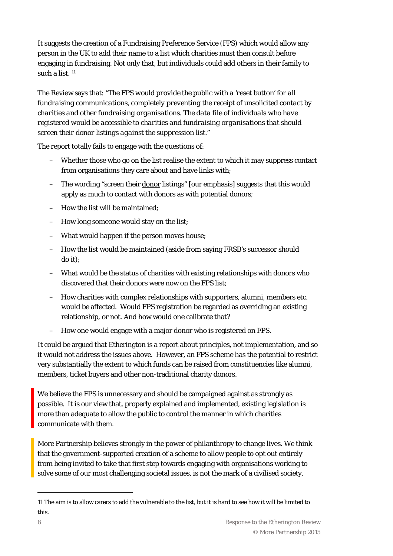It suggests the creation of a Fundraising Preference Service (FPS) which would allow any person in the UK to add their name to a list which charities must then consult before engaging in fundraising. Not only that, but individuals could add others in their family to such a list. 11

The Review says that: *"The FPS would provide the public with a 'reset button' for all fundraising communications, completely preventing the receipt of unsolicited contact by charities and other fundraising organisations. The data file of individuals who have registered would be accessible to charities and fundraising organisations that should screen their donor listings against the suppression list."* 

The report totally fails to engage with the questions of:

- Whether those who go on the list realise the extent to which it may suppress contact from organisations they care about and have links with;
- The wording "screen their donor listings" [our emphasis] suggests that this would apply as much to contact with donors as with potential donors;
- How the list will be maintained;
- How long someone would stay on the list;
- What would happen if the person moves house;
- How the list would be maintained (aside from saying FRSB's successor should do it);
- What would be the status of charities with existing relationships with donors who discovered that their donors were now on the FPS list;
- How charities with complex relationships with supporters, alumni, members etc. would be affected. Would FPS registration be regarded as overriding an existing relationship, or not. And how would one calibrate that?
- How one would engage with a major donor who is registered on FPS.

It could be argued that Etherington is a report about principles, not implementation, and so it would not address the issues above. However, an FPS scheme has the potential to restrict very substantially the extent to which funds can be raised from constituencies like alumni, members, ticket buyers and other non-traditional charity donors.

We believe the FPS is unnecessary and should be campaigned against as strongly as possible. It is our view that, properly explained and implemented, existing legislation is more than adequate to allow the public to control the manner in which charities communicate with them.

More Partnership believes strongly in the power of philanthropy to change lives. We think that the government-supported creation of a scheme to allow people to opt out entirely from being invited to take that first step towards engaging with organisations working to solve some of our most challenging societal issues, is not the mark of a civilised society.

<sup>11</sup> The aim is to allow carers to add the vulnerable to the list, but it is hard to see how it will be limited to this.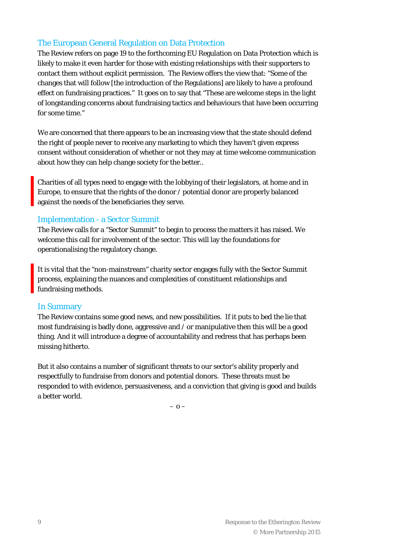## The European General Regulation on Data Protection

The Review refers on page 19 to the forthcoming EU Regulation on Data Protection which is likely to make it even harder for those with existing relationships with their supporters to contact them without explicit permission. The Review offers the view that: "Some of the changes that will follow [the introduction of the Regulations] are likely to have a profound effect on fundraising practices." It goes on to say that "These are welcome steps in the light of longstanding concerns about fundraising tactics and behaviours that have been occurring for some time."

We are concerned that there appears to be an increasing view that the state should defend the right of people never to receive any marketing to which they haven't given express consent without consideration of whether or not they may at time welcome communication about how they can help change society for the better..

Charities of all types need to engage with the lobbying of their legislators, at home and in Europe, to ensure that the rights of the donor / potential donor are properly balanced against the needs of the beneficiaries they serve.

#### Implementation - a Sector Summit

The Review calls for a "Sector Summit" to begin to process the matters it has raised. We welcome this call for involvement of the sector. This will lay the foundations for operationalising the regulatory change.

It is vital that the "non-mainstream" charity sector engages fully with the Sector Summit process, explaining the nuances and complexities of constituent relationships and fundraising methods.

#### In Summary

The Review contains some good news, and new possibilities. If it puts to bed the lie that most fundraising is badly done, aggressive and / or manipulative then this will be a good thing. And it will introduce a degree of accountability and redress that has perhaps been missing hitherto.

But it also contains a number of significant threats to our sector's ability properly and respectfully to fundraise from donors and potential donors. These threats must be responded to with evidence, persuasiveness, and a conviction that giving is good and builds a better world.

– o –